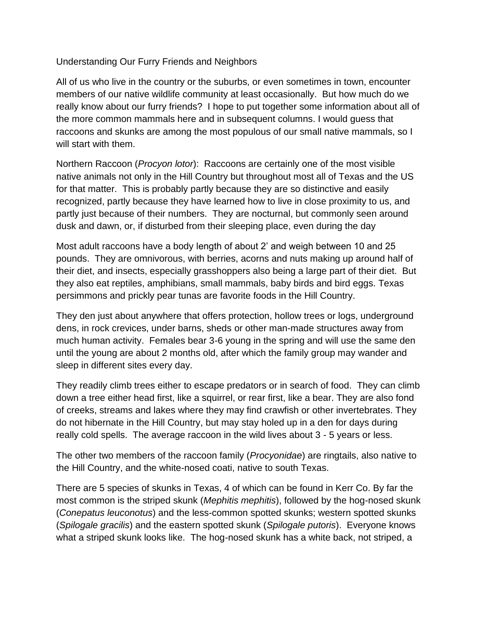## Understanding Our Furry Friends and Neighbors

All of us who live in the country or the suburbs, or even sometimes in town, encounter members of our native wildlife community at least occasionally. But how much do we really know about our furry friends? I hope to put together some information about all of the more common mammals here and in subsequent columns. I would guess that raccoons and skunks are among the most populous of our small native mammals, so I will start with them.

Northern Raccoon (*Procyon lotor*): Raccoons are certainly one of the most visible native animals not only in the Hill Country but throughout most all of Texas and the US for that matter. This is probably partly because they are so distinctive and easily recognized, partly because they have learned how to live in close proximity to us, and partly just because of their numbers. They are nocturnal, but commonly seen around dusk and dawn, or, if disturbed from their sleeping place, even during the day

Most adult raccoons have a body length of about 2' and weigh between 10 and 25 pounds. They are omnivorous, with berries, acorns and nuts making up around half of their diet, and insects, especially grasshoppers also being a large part of their diet. But they also eat reptiles, amphibians, small mammals, baby birds and bird eggs. Texas persimmons and prickly pear tunas are favorite foods in the Hill Country.

They den just about anywhere that offers protection, hollow trees or logs, underground dens, in rock crevices, under barns, sheds or other man-made structures away from much human activity. Females bear 3-6 young in the spring and will use the same den until the young are about 2 months old, after which the family group may wander and sleep in different sites every day.

They readily climb trees either to escape predators or in search of food. They can climb down a tree either head first, like a squirrel, or rear first, like a bear. They are also fond of creeks, streams and lakes where they may find crawfish or other invertebrates. They do not hibernate in the Hill Country, but may stay holed up in a den for days during really cold spells. The average raccoon in the wild lives about 3 - 5 years or less.

The other two members of the raccoon family (*Procyonidae*) are ringtails, also native to the Hill Country, and the white-nosed coati, native to south Texas.

There are 5 species of skunks in Texas, 4 of which can be found in Kerr Co. By far the most common is the striped skunk (*Mephitis mephitis*), followed by the hog-nosed skunk (*Conepatus leuconotus*) and the less-common spotted skunks; western spotted skunks (*Spilogale gracilis*) and the eastern spotted skunk (*Spilogale putoris*). Everyone knows what a striped skunk looks like. The hog-nosed skunk has a white back, not striped, a